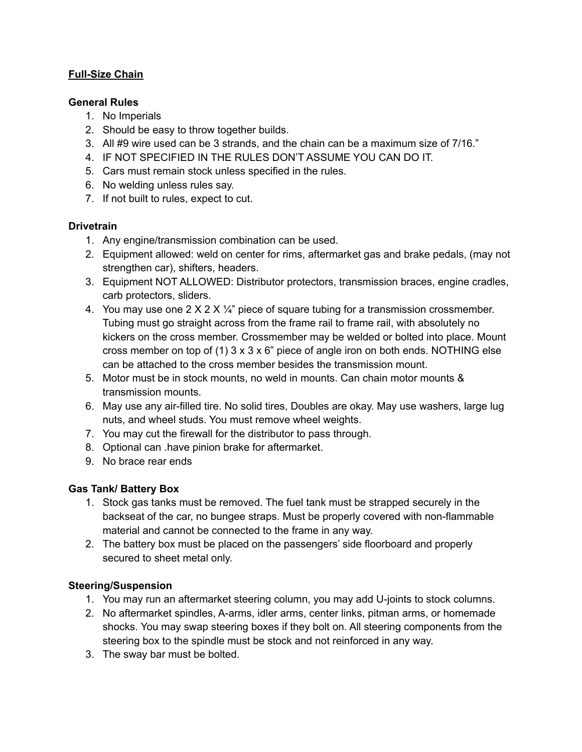## **Full-Size Chain**

#### **General Rules**

- 1. No Imperials
- 2. Should be easy to throw together builds.
- 3. All #9 wire used can be 3 strands, and the chain can be a maximum size of 7/16."
- 4. IF NOT SPECIFIED IN THE RULES DON'T ASSUME YOU CAN DO IT.
- 5. Cars must remain stock unless specified in the rules.
- 6. No welding unless rules say.
- 7. If not built to rules, expect to cut.

## **Drivetrain**

- 1. Any engine/transmission combination can be used.
- 2. Equipment allowed: weld on center for rims, aftermarket gas and brake pedals, (may not strengthen car), shifters, headers.
- 3. Equipment NOT ALLOWED: Distributor protectors, transmission braces, engine cradles, carb protectors, sliders.
- 4. You may use one  $2 \times 2 \times \frac{1}{4}$ " piece of square tubing for a transmission crossmember. Tubing must go straight across from the frame rail to frame rail, with absolutely no kickers on the cross member. Crossmember may be welded or bolted into place. Mount cross member on top of (1)  $3 \times 3 \times 6$ " piece of angle iron on both ends. NOTHING else can be attached to the cross member besides the transmission mount.
- 5. Motor must be in stock mounts, no weld in mounts. Can chain motor mounts & transmission mounts.
- 6. May use any air-filled tire. No solid tires, Doubles are okay. May use washers, large lug nuts, and wheel studs. You must remove wheel weights.
- 7. You may cut the firewall for the distributor to pass through.
- 8. Optional can .have pinion brake for aftermarket.
- 9. No brace rear ends

#### **Gas Tank/ Battery Box**

- 1. Stock gas tanks must be removed. The fuel tank must be strapped securely in the backseat of the car, no bungee straps. Must be properly covered with non-flammable material and cannot be connected to the frame in any way.
- 2. The battery box must be placed on the passengers' side floorboard and properly secured to sheet metal only.

# **Steering/Suspension**

- 1. You may run an aftermarket steering column, you may add U-joints to stock columns.
- 2. No aftermarket spindles, A-arms, idler arms, center links, pitman arms, or homemade shocks. You may swap steering boxes if they bolt on. All steering components from the steering box to the spindle must be stock and not reinforced in any way.
- 3. The sway bar must be bolted.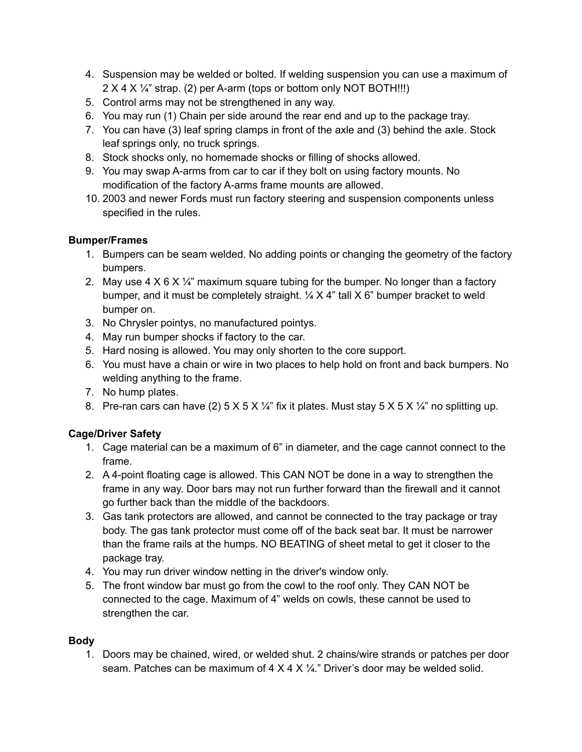- 4. Suspension may be welded or bolted. If welding suspension you can use a maximum of 2 X 4 X ¼" strap. (2) per A-arm (tops or bottom only NOT BOTH!!!)
- 5. Control arms may not be strengthened in any way.
- 6. You may run (1) Chain per side around the rear end and up to the package tray.
- 7. You can have (3) leaf spring clamps in front of the axle and (3) behind the axle. Stock leaf springs only, no truck springs.
- 8. Stock shocks only, no homemade shocks or filling of shocks allowed.
- 9. You may swap A-arms from car to car if they bolt on using factory mounts. No modification of the factory A-arms frame mounts are allowed.
- 10. 2003 and newer Fords must run factory steering and suspension components unless specified in the rules.

## **Bumper/Frames**

- 1. Bumpers can be seam welded. No adding points or changing the geometry of the factory bumpers.
- 2. May use 4 X 6 X  $\frac{1}{4}$ " maximum square tubing for the bumper. No longer than a factory bumper, and it must be completely straight.  $\frac{1}{4}$  X 4" tall X 6" bumper bracket to weld bumper on.
- 3. No Chrysler pointys, no manufactured pointys.
- 4. May run bumper shocks if factory to the car.
- 5. Hard nosing is allowed. You may only shorten to the core support.
- 6. You must have a chain or wire in two places to help hold on front and back bumpers. No welding anything to the frame.
- 7. No hump plates.
- 8. Pre-ran cars can have (2)  $5 \times 5 \times 1/4$ " fix it plates. Must stay  $5 \times 5 \times 1/4$ " no splitting up.

# **Cage/Driver Safety**

- 1. Cage material can be a maximum of 6" in diameter, and the cage cannot connect to the frame.
- 2. A 4-point floating cage is allowed. This CAN NOT be done in a way to strengthen the frame in any way. Door bars may not run further forward than the firewall and it cannot go further back than the middle of the backdoors.
- 3. Gas tank protectors are allowed, and cannot be connected to the tray package or tray body. The gas tank protector must come off of the back seat bar. It must be narrower than the frame rails at the humps. NO BEATING of sheet metal to get it closer to the package tray.
- 4. You may run driver window netting in the driver's window only.
- 5. The front window bar must go from the cowl to the roof only. They CAN NOT be connected to the cage. Maximum of 4" welds on cowls, these cannot be used to strengthen the car.

# **Body**

1. Doors may be chained, wired, or welded shut. 2 chains/wire strands or patches per door seam. Patches can be maximum of  $4 \times 4 \times 4$ ." Driver's door may be welded solid.